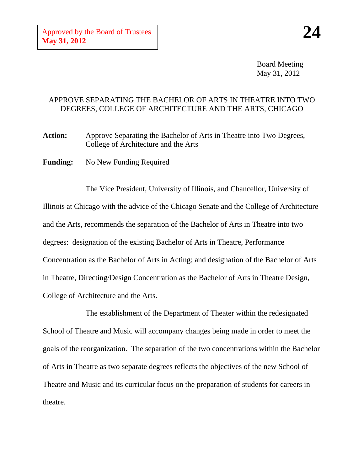Board Meeting May 31, 2012

## APPROVE SEPARATING THE BACHELOR OF ARTS IN THEATRE INTO TWO DEGREES, COLLEGE OF ARCHITECTURE AND THE ARTS, CHICAGO

Action: Approve Separating the Bachelor of Arts in Theatre into Two Degrees, College of Architecture and the Arts

**Funding:** No New Funding Required

The Vice President, University of Illinois, and Chancellor, University of Illinois at Chicago with the advice of the Chicago Senate and the College of Architecture and the Arts, recommends the separation of the Bachelor of Arts in Theatre into two degrees: designation of the existing Bachelor of Arts in Theatre, Performance Concentration as the Bachelor of Arts in Acting; and designation of the Bachelor of Arts in Theatre, Directing/Design Concentration as the Bachelor of Arts in Theatre Design, College of Architecture and the Arts.

The establishment of the Department of Theater within the redesignated School of Theatre and Music will accompany changes being made in order to meet the goals of the reorganization. The separation of the two concentrations within the Bachelor of Arts in Theatre as two separate degrees reflects the objectives of the new School of Theatre and Music and its curricular focus on the preparation of students for careers in theatre.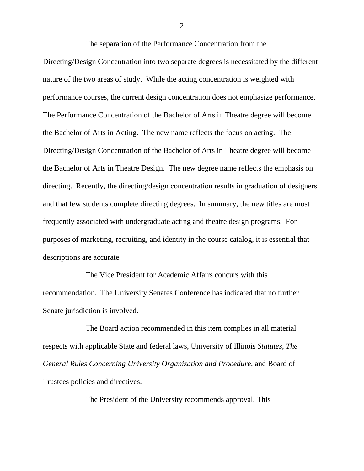The separation of the Performance Concentration from the Directing/Design Concentration into two separate degrees is necessitated by the different nature of the two areas of study. While the acting concentration is weighted with performance courses, the current design concentration does not emphasize performance. The Performance Concentration of the Bachelor of Arts in Theatre degree will become the Bachelor of Arts in Acting. The new name reflects the focus on acting. The Directing/Design Concentration of the Bachelor of Arts in Theatre degree will become the Bachelor of Arts in Theatre Design. The new degree name reflects the emphasis on directing. Recently, the directing/design concentration results in graduation of designers and that few students complete directing degrees. In summary, the new titles are most frequently associated with undergraduate acting and theatre design programs. For purposes of marketing, recruiting, and identity in the course catalog, it is essential that descriptions are accurate.

The Vice President for Academic Affairs concurs with this recommendation. The University Senates Conference has indicated that no further Senate jurisdiction is involved.

The Board action recommended in this item complies in all material respects with applicable State and federal laws, University of Illinois *Statutes*, *The General Rules Concerning University Organization and Procedure*, and Board of Trustees policies and directives.

The President of the University recommends approval. This

2